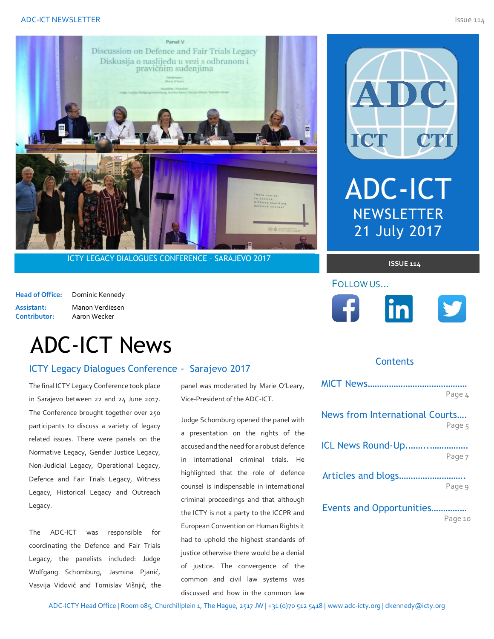

ICTY LEGACY DIALOGUES CONFERENCE - SARAJEVO 2017

**Head of Office:** Dominic Kennedy Assistant: Manon Verdiesen<br>Contributor: Aaron Wecker **Contributor:** Aaron Wecker

# ADC-ICT News

## **ICTY Legacy Dialogues Conference - Sarajevo 2017**

The final ICTY Legacy Conference took place in Sarajevo between 22 and 24 June 2017. The Conference brought together over 250 participants to discuss a variety of legacy related issues. There were panels on the Normative Legacy, Gender Justice Legacy, Non-Judicial Legacy, Operational Legacy, Defence and Fair Trials Legacy, Witness Legacy, Historical Legacy and Outreach Legacy.

The ADC-ICT was responsible for coordinating the Defence and Fair Trials Legacy, the panelists included: Judge Wolfgang Schomburg, Jasmina Pjanić, Vasvija Vidović and Tomislav Višnjić, the panel was moderated by Marie O'Leary, Vice-President of the ADC-ICT.

Judge Schomburg opened the panel with a presentation on the rights of the accused and the need for a robust defence in international criminal trials. He highlighted that the role of defence counsel is indispensable in international criminal proceedings and that although the ICTY is not a party to the ICCPR and European Convention on Human Rights it had to uphold the highest standards of justice otherwise there would be a denial of justice. The convergence of the common and civil law systems was discussed and how in the common law



### **Contents**

FOLLOW US…

|                                | Page 4  |
|--------------------------------|---------|
| News from International Courts | Page 5  |
|                                |         |
| ICL News Round-Up              |         |
|                                | Page 7  |
|                                |         |
|                                | Page 9  |
| Events and Opportunities       |         |
|                                | Page 10 |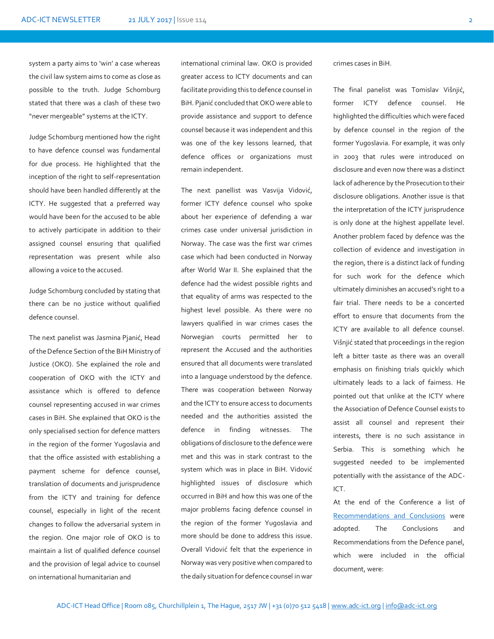system a party aims to 'win' a case whereas the civil law system aims to come as close as possible to the truth. Judge Schomburg stated that there was a clash of these two "never mergeable" systems at the ICTY.

Judge Schomburg mentioned how the right to have defence counsel was fundamental for due process. He highlighted that the inception of the right to self-representation should have been handled differently at the ICTY. He suggested that a preferred way would have been for the accused to be able to actively participate in addition to their assigned counsel ensuring that qualified representation was present while also allowing a voice to the accused.

Judge Schomburg concluded by stating that there can be no justice without qualified defence counsel.

The next panelist was Jasmina Pjanić, Head of the Defence Section of the BiH Ministry of Justice (OKO). She explained the role and cooperation of OKO with the ICTY and assistance which is offered to defence counsel representing accused in war crimes cases in BiH. She explained that OKO is the only specialised section for defence matters in the region of the former Yugoslavia and that the office assisted with establishing a payment scheme for defence counsel, translation of documents and jurisprudence from the ICTY and training for defence counsel, especially in light of the recent changes to follow the adversarial system in the region. One major role of OKO is to maintain a list of qualified defence counsel and the provision of legal advice to counsel on international humanitarian and

international criminal law. OKO is provided greater access to ICTY documents and can facilitate providing this to defence counsel in BiH. Pjanić concluded that OKO were able to provide assistance and support to defence counsel because it was independent and this was one of the key lessons learned, that defence offices or organizations must remain independent.

The next panellist was Vasvija Vidović, former ICTY defence counsel who spoke about her experience of defending a war crimes case under universal jurisdiction in Norway. The case was the first war crimes case which had been conducted in Norway after World War II. She explained that the defence had the widest possible rights and that equality of arms was respected to the highest level possible. As there were no lawyers qualified in war crimes cases the Norwegian courts permitted her to represent the Accused and the authorities ensured that all documents were translated into a language understood by the defence. There was cooperation between Norway and the ICTY to ensure access to documents needed and the authorities assisted the defence in finding witnesses. The obligations of disclosure to the defence were met and this was in stark contrast to the system which was in place in BiH. Vidović highlighted issues of disclosure which occurred in BiH and how this was one of the major problems facing defence counsel in the region of the former Yugoslavia and more should be done to address this issue. Overall Vidović felt that the experience in Norway was very positive when compared to the daily situation for defence counsel in war crimes cases in BiH.

The final panelist was Tomislav Višnjić, former ICTY defence counsel. He highlighted the difficulties which were faced by defence counsel in the region of the former Yugoslavia. For example, it was only in 2003 that rules were introduced on disclosure and even now there was a distinct lack of adherence by the Prosecution to their disclosure obligations. Another issue is that the interpretation of the ICTY jurisprudence is only done at the highest appellate level. Another problem faced by defence was the collection of evidence and investigation in the region, there is a distinct lack of funding for such work for the defence which ultimately diminishes an accused's right to a fair trial. There needs to be a concerted effort to ensure that documents from the ICTY are available to all defence counsel. Višnjić stated that proceedings in the region left a bitter taste as there was an overall emphasis on finishing trials quickly which ultimately leads to a lack of fairness. He pointed out that unlike at the ICTY where the Association of Defence Counsel exists to assist all counsel and represent their interests, there is no such assistance in Serbia. This is something which he suggested needed to be implemented potentially with the assistance of the ADC-ICT.

At the end of the Conference a list o[f](http://www.icty.org/sites/icty.org/files/170624-conclusions-and-recommendations-sarajevo-legacy-conference.pdf) [Recommendations and Conclusions](http://www.icty.org/sites/icty.org/files/170624-conclusions-and-recommendations-sarajevo-legacy-conference.pdf) were adopted. The Conclusions and Recommendations from the Defence panel, which were included in the official document, were: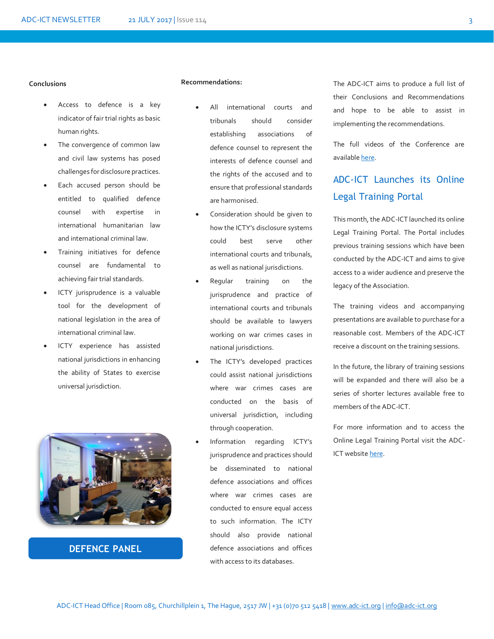#### **Conclusions**

- Access to defence is a key indicator of fair trial rights as basic human rights.
- The convergence of common law and civil law systems has posed challenges for disclosure practices.
- Each accused person should be entitled to qualified defence counsel with expertise in international humanitarian law and international criminal law.
- Training initiatives for defence counsel are fundamental to achieving fair trial standards.
- ICTY jurisprudence is a valuable tool for the development of national legislation in the area of international criminal law.
- ICTY experience has assisted national jurisdictions in enhancing the ability of States to exercise universal jurisdiction.



### **DEFENCE PANEL**

#### **Recommendations:**

- All international courts and tribunals should consider establishing associations of defence counsel to represent the interests of defence counsel and the rights of the accused and to ensure that professional standards are harmonised.
- Consideration should be given to how the ICTY's disclosure systems could best serve other international courts and tribunals, as well as national jurisdictions.
- Regular training on the jurisprudence and practice of international courts and tribunals should be available to lawyers working on war crimes cases in national jurisdictions.
- The ICTY's developed practices could assist national jurisdictions where war crimes cases are conducted on the basis of universal jurisdiction, including through cooperation.
- Information regarding ICTY's jurisprudence and practices should be disseminated to national defence associations and offices where war crimes cases are conducted to ensure equal access to such information. The ICTY should also provide national defence associations and offices with access to its databases.

The ADC-ICT aims to produce a full list of their Conclusions and Recommendations and hope to be able to assist in implementing the recommendations.

The full videos of the Conference are availabl[e here.](http://www.icty.org/en/outreach/legacy-conferences/icty-legacy-dialogues-conference-2017)

# ADC-ICT Launches its Online Legal Training Portal

This month, the ADC-ICT launched its online Legal Training Portal. The Portal includes previous training sessions which have been conducted by the ADC-ICT and aims to give access to a wider audience and preserve the legacy of the Association.

The training videos and accompanying presentations are available to purchase for a reasonable cost. Members of the ADC-ICT receive a discount on the training sessions.

In the future, the library of training sessions will be expanded and there will also be a series of shorter lectures available free to members of the ADC-ICT.

For more information and to access the Online Legal Training Portal visit the ADC-ICT website [here.](https://www.adc-ict.org/training)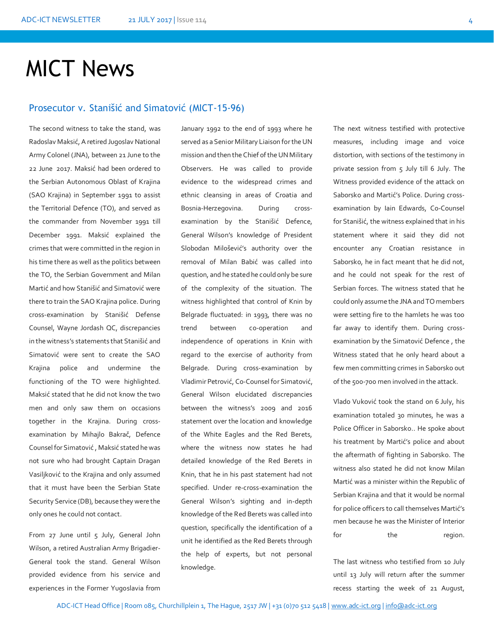# MICT News

### Prosecutor v. Stanišić and Simatović (MICT-15-96)

The second witness to take the stand, was Radoslav Maksić, A retired Jugoslav National Army Colonel (JNA), between 21 June to the 22 June 2017. Maksić had been ordered to the Serbian Autonomous Oblast of Krajina (SAO Krajina) in September 1991 to assist the Territorial Defence (TO), and served as the commander from November 1991 till December 1991. Maksić explained the crimes that were committed in the region in his time there as well as the politics between the TO, the Serbian Government and Milan Martić and how Stanišić and Simatović were there to train the SAO Krajina police. During cross-examination by Stanišić Defense Counsel, Wayne Jordash QC, discrepancies in the witness's statements that Stanišić and Simatović were sent to create the SAO Krajina police and undermine the functioning of the TO were highlighted. Maksić stated that he did not know the two men and only saw them on occasions together in the Krajina. During crossexamination by Mihajlo Bakrač, Defence Counsel for Simatović , Maksić stated he was not sure who had brought Captain Dragan Vasiljković to the Krajina and only assumed that it must have been the Serbian State Security Service (DB), because they were the only ones he could not contact.

From 27 June until 5 July, General John Wilson, a retired Australian Army Brigadier-General took the stand. General Wilson provided evidence from his service and experiences in the Former Yugoslavia from January 1992 to the end of 1993 where he served as a Senior Military Liaison for the UN mission and then the Chief of the UN Military Observers. He was called to provide evidence to the widespread crimes and ethnic cleansing in areas of Croatia and Bosnia-Herzegovina. During crossexamination by the Stanišić Defence, General Wilson's knowledge of President Slobodan Milošević's authority over the removal of Milan Babić was called into question, and he stated he could only be sure of the complexity of the situation. The witness highlighted that control of Knin by Belgrade fluctuated: in 1993, there was no trend between co-operation and independence of operations in Knin with regard to the exercise of authority from Belgrade. During cross-examination by Vladimir Petrović, Co-Counsel for Simatović, General Wilson elucidated discrepancies between the witness's 2009 and 2016 statement over the location and knowledge of the White Eagles and the Red Berets, where the witness now states he had detailed knowledge of the Red Berets in Knin, that he in his past statement had not specified. Under re-cross-examination the General Wilson's sighting and in-depth knowledge of the Red Berets was called into question, specifically the identification of a unit he identified as the Red Berets through the help of experts, but not personal knowledge.

The next witness testified with protective measures, including image and voice distortion, with sections of the testimony in private session from 5 July till 6 July. The Witness provided evidence of the attack on Saborsko and Martić's Police. During crossexamination by Iain Edwards, Co-Counsel for Stanišić, the witness explained that in his statement where it said they did not encounter any Croatian resistance in Saborsko, he in fact meant that he did not, and he could not speak for the rest of Serbian forces. The witness stated that he could only assume the JNA and TO members were setting fire to the hamlets he was too far away to identify them. During crossexamination by the Simatović Defence , the Witness stated that he only heard about a few men committing crimes in Saborsko out of the 500-700 men involved in the attack.

Vlado Vuković took the stand on 6 July, his examination totaled 30 minutes, he was a Police Officer in Saborsko.. He spoke about his treatment by Martić's police and about the aftermath of fighting in Saborsko. The witness also stated he did not know Milan Martić was a minister within the Republic of Serbian Krajina and that it would be normal for police officers to call themselves Martić's men because he was the Minister of Interior for the region.

The last witness who testified from 10 July until 13 July will return after the summer recess starting the week of 21 August,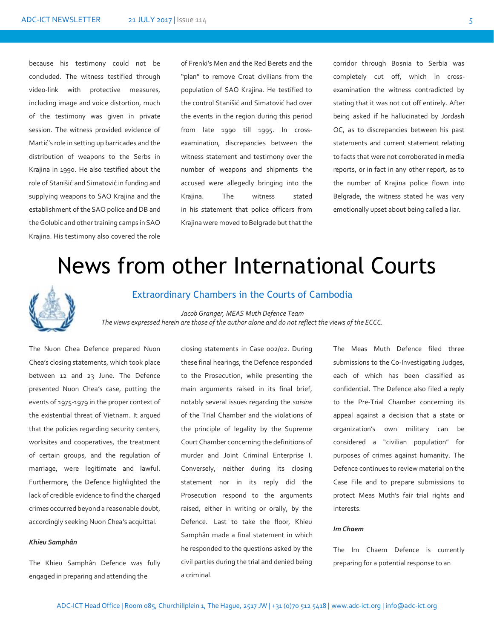because his testimony could not be concluded. The witness testified through video-link with protective measures, including image and voice distortion, much of the testimony was given in private session. The witness provided evidence of Martić's role in setting up barricades and the distribution of weapons to the Serbs in Krajina in 1990. He also testified about the role of Stanišić and Simatović in funding and supplying weapons to SAO Krajina and the establishment of the SAO police and DB and the Golubic and other training camps in SAO Krajina. His testimony also covered the role

of Frenki's Men and the Red Berets and the "plan" to remove Croat civilians from the population of SAO Krajina. He testified to the control Stanišić and Simatović had over the events in the region during this period from late 1990 till 1995. In crossexamination, discrepancies between the witness statement and testimony over the number of weapons and shipments the accused were allegedly bringing into the Krajina. The witness stated in his statement that police officers from Krajina were moved to Belgrade but that the

corridor through Bosnia to Serbia was completely cut off, which in crossexamination the witness contradicted by stating that it was not cut off entirely. After being asked if he hallucinated by Jordash QC, as to discrepancies between his past statements and current statement relating to facts that were not corroborated in media reports, or in fact in any other report, as to the number of Krajina police flown into Belgrade, the witness stated he was very emotionally upset about being called a liar.

# News from other International Courts



#### Extraordinary Chambers in the Courts of Cambodia

*Meas Muth The views expressed herein are those of the author alone and do not reflect the views of the ECCC.Jacob Granger, MEAS Muth Defence Team* 

The Nuon Chea Defence prepared Nuon Chea's closing statements, which took place between 12 and 23 June. The Defence presented Nuon Chea's case, putting the events of 1975-1979 in the proper context of the existential threat of Vietnam. It argued that the policies regarding security centers, worksites and cooperatives, the treatment of certain groups, and the regulation of marriage, were legitimate and lawful. Furthermore, the Defence highlighted the lack of credible evidence to find the charged crimes occurred beyond a reasonable doubt, accordingly seeking Nuon Chea's acquittal.

#### *Khieu Samphân*

The Khieu Samphân Defence was fully engaged in preparing and attending the

closing statements in Case 002/02. During these final hearings, the Defence responded to the Prosecution, while presenting the main arguments raised in its final brief, notably several issues regarding the *saisine* of the Trial Chamber and the violations of the principle of legality by the Supreme Court Chamber concerning the definitions of murder and Joint Criminal Enterprise I. Conversely, neither during its closing statement nor in its reply did the Prosecution respond to the arguments raised, either in writing or orally, by the Defence. Last to take the floor, Khieu Samphân made a final statement in which he responded to the questions asked by the civil parties during the trial and denied being a criminal.

The Meas Muth Defence filed three submissions to the Co-Investigating Judges, each of which has been classified as confidential. The Defence also filed a reply to the Pre-Trial Chamber concerning its appeal against a decision that a state or organization's own military can be considered a "civilian population" for purposes of crimes against humanity. The Defence continues to review material on the Case File and to prepare submissions to protect Meas Muth's fair trial rights and interests.

#### *Im Chaem*

The Im Chaem Defence is currently preparing for a potential response to an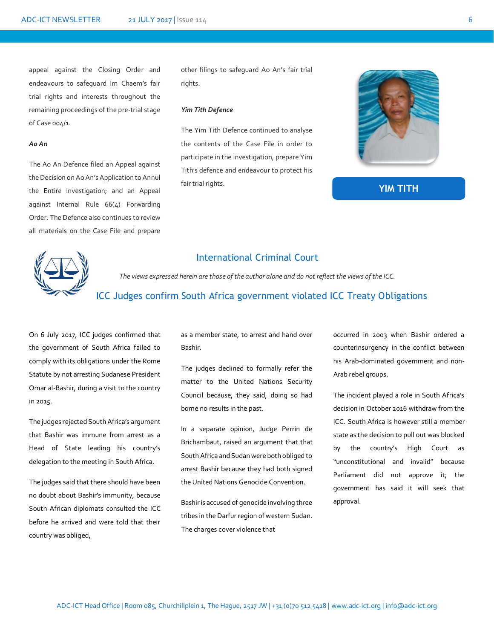appeal against the Closing Order and endeavours to safeguard Im Chaem's fair trial rights and interests throughout the remaining proceedings of the pre-trial stage of Case 004/1.

#### *Ao An*

The Ao An Defence filed an Appeal against the Decision on Ao An's Application to Annul the Entire Investigation; and an Appeal against Internal Rule 66(4) Forwarding Order. The Defence also continues to review all materials on the Case File and prepare

other filings to safeguard Ao An's fair trial rights.

#### *Yim Tith Defence*

The Yim Tith Defence continued to analyse the contents of the Case File in order to participate in the investigation, prepare Yim Tith's defence and endeavour to protect his fair trial rights.



#### **YIM TITH**



### International Criminal Court

*The views expressed herein are those of the author alone and do not reflect the views of the ICC.*

### *.* ICC Judges confirm South Africa government violated ICC Treaty Obligations

On 6 July 2017, ICC judges confirmed that the government of South Africa failed to comply with its obligations under the Rome Statute by not arresting Sudanese President Omar al-Bashir, during a visit to the country in 2015.

The judges rejected South Africa's argument that Bashir was immune from arrest as a Head of State leading his country's delegation to the meeting in South Africa.

The judges said that there should have been no doubt about Bashir's immunity, because South African diplomats consulted the ICC before he arrived and were told that their country was obliged,

as a member state, to arrest and hand over Bashir.

The judges declined to formally refer the matter to the United Nations Security Council because, they said, doing so had borne no results in the past.

In a separate opinion, Judge Perrin de Brichambaut, raised an argument that that South Africa and Sudan were both obliged to arrest Bashir because they had both signed the United Nations Genocide Convention.

Bashir is accused of genocide involving three tribes in the Darfur region of western Sudan. The charges cover violence that

occurred in 2003 when Bashir ordered a counterinsurgency in the conflict between his Arab-dominated government and non-Arab rebel groups.

The incident played a role in South Africa's decision in October 2016 withdraw from the ICC. South Africa is however still a member state as the decision to pull out was blocked by the country's High Court as "unconstitutional and invalid" because Parliament did not approve it; the government has said it will seek that approval.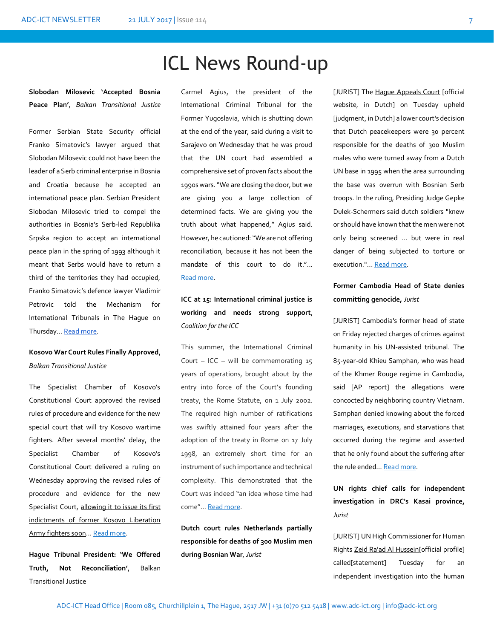# ICL News Round-up

**Slobodan Milosevic 'Accepted Bosnia Peace Plan'**, *Balkan Transitional Justice*

Former Serbian State Security official Franko Simatovic's lawyer argued that Slobodan Milosevic could not have been the leader of a Serb criminal enterprise in Bosnia and Croatia because he accepted an international peace plan. Serbian President Slobodan Milosevic tried to compel the authorities in Bosnia's Serb-led Republika Srpska region to accept an international peace plan in the spring of 1993 although it meant that Serbs would have to return a third of the territories they had occupied, Franko Simatovic's defence lawyer Vladimir Petrovic told the Mechanism for International Tribunals in The Hague on Thursday… [Read more.](http://letstalk.ug/article/no-interest-or-no-information-northern-ugandans-disappointed-coverage-dominic-ongwens-trial)

### **Kosovo War Court Rules Finally Approved**, *Balkan Transitional Justice*

The Specialist Chamber of Kosovo's Constitutional Court approved the revised rules of procedure and evidence for the new special court that will try Kosovo wartime fighters. After several months' delay, the Specialist Chamber of Kosovo's Constitutional Court delivered a ruling on Wednesday approving the revised rules of procedure and evidence for the new Specialist Court, [allowing it to issue its first](http://www.balkaninsight.com/en/article/kosovo-special-court-prepares-to-charge-ex-guerrillas-06-27-2017)  [indictments of former Kosovo Liberation](http://www.balkaninsight.com/en/article/kosovo-special-court-prepares-to-charge-ex-guerrillas-06-27-2017)  [Army fighters soon](http://www.balkaninsight.com/en/article/kosovo-special-court-prepares-to-charge-ex-guerrillas-06-27-2017)… [Read more.](http://www.balkaninsight.com/en/article/kosovo-war-court-rules-finally-approved-06-28-2017) 

**Hague Tribunal President: 'We Offered Truth, Not Reconciliation'**, Balkan Transitional Justice

Carmel Agius, the president of the International Criminal Tribunal for the Former Yugoslavia, which is shutting down at the end of the year, said during a visit to Sarajevo on Wednesday that he was proud that the UN court had assembled a comprehensive set of proven facts about the 1990s wars. "We are closing the door, but we are giving you a large collection of determined facts. We are giving you the truth about what happened," Agius said. However, he cautioned: "We are not offering reconciliation, because it has not been the mandate of this court to do it."... [Read more.](http://www.balkaninsight.com/en/article/hague-tribunal-president-we-offered-truth-not-reconciliation--06-21-2017)

# **ICC at 15: International criminal justice is working and needs strong support**, *Coalition for the ICC*

This summer, the International Criminal Court – ICC – will be commemorating  $15$ years of operations, brought about by the entry into force of the Court's founding treaty, the Rome Statute, on 1 July 2002. The required high number of ratifications was swiftly attained four years after the adoption of the treaty in Rome on 17 July 1998, an extremely short time for an instrument of such importance and technical complexity. This demonstrated that the Court was indeed "an idea whose time had come"... [Read more.](http://www.coalitionfortheicc.org/news/20170703/icc-15-international-criminal-justice-working-and-needs-strong-support)

**Dutch court rules Netherlands partially responsible for deaths of 300 Muslim men during Bosnian War**, *Jurist*

[JURIST] The [Hague Appeals Court](https://www.rechtspraak.nl/Organisatie-en-contact/Organisatie/Gerechtshoven/Gerechtshof-Den-Haag/) [official website, in Dutch] on Tuesday [upheld](https://uitspraken.rechtspraak.nl/inziendocument?id=ECLI:NL:GHDHA:2017:1761) [judgment, in Dutch] a lower court's decision that Dutch peacekeepers were 30 percent responsible for the deaths of 300 Muslim males who were turned away from a Dutch UN base in 1995 when the area surrounding the base was overrun with Bosnian Serb troops. In the ruling, Presiding Judge Gepke Dulek-Schermers said dutch soldiers "knew or should have known that the men were not only being screened ... but were in real danger of being subjected to torture or execution."..[. Read more.](http://www.jurist.org/paperchase/2017/06/dutch-court-rules-netherlands-partially-responsible-for-deaths-of-300-muslim-men-during-bosnian-war.php) 

### **Former Cambodia Head of State denies committing genocide,** *Jurist*

[JURIST] Cambodia's former head of state on Friday rejected charges of crimes against humanity in his UN-assisted tribunal. The 85-year-old Khieu Samphan, who was head of the Khmer Rouge regime in Cambodia, [said](http://www.nydailynews.com/newswires/news/world/khmer-rouge-leaders-deliver-closing-defense-trial-article-1.3271420) [AP report] the allegations were concocted by neighboring country Vietnam. Samphan denied knowing about the forced marriages, executions, and starvations that occurred during the regime and asserted that he only found about the suffering after the rule ended… [Read more.](http://www.jurist.org/paperchase/2017/06/former-cambodia-head-of-state-denies-committing-genocide.php)

**UN rights chief calls for independent investigation in DRC's Kasai province,**  *Jurist*

[JURIST] UN High Commissioner for Human Right[s Zeid Ra'ad Al Hussein\[](http://www.ohchr.org/EN/AboutUs/Pages/HighCommissioner.aspx)official profile] [called\[](http://www.ohchr.org/EN/NewsEvents/Pages/DisplayNews.aspx?NewsID=21779&LangID=E)statement] Tuesday for an independent investigation into the human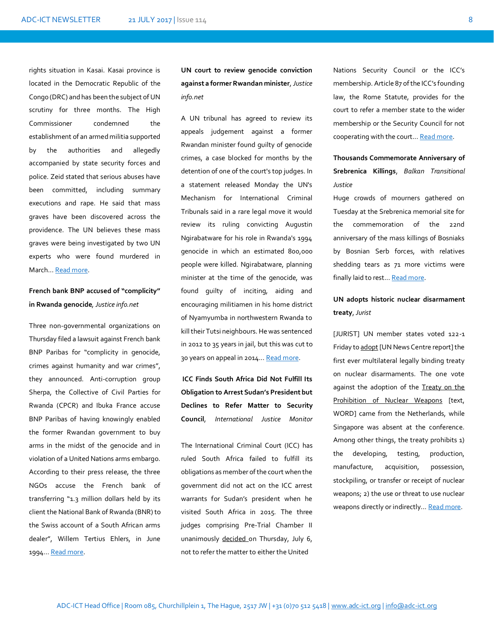rights situation in Kasai. Kasai province is located in the Democratic Republic of the Congo (DRC) and has been the subject of UN scrutiny for three months. The High Commissioner condemned the establishment of an armed militia supported by the authorities and allegedly accompanied by state security forces and police. Zeid stated that serious abuses have been committed, including summary executions and rape. He said that mass graves have been discovered across the providence. The UN believes these mass graves were being investigated by two UN experts who were found murdered in March… [Read more.](http://www.jurist.org/paperchase/2017/06/un-rights-chief-calls-for-independent-investigation-in-drcs-kasai-province.php)

**French bank BNP accused of "complicity" in Rwanda genocide***, Justice info.net*

Three non-governmental organizations on Thursday filed a lawsuit against French bank BNP Paribas for "complicity in genocide, crimes against humanity and war crimes", they announced. Anti-corruption group Sherpa, the Collective of Civil Parties for Rwanda (CPCR) and Ibuka France accuse BNP Paribas of having knowingly enabled the former Rwandan government to buy arms in the midst of the genocide and in violation of a United Nations arms embargo. According to their press release, the three NGOs accuse the French bank of transferring "1.3 million dollars held by its client the National Bank of Rwanda (BNR) to the Swiss account of a South African arms dealer", Willem Tertius Ehlers, in June 1994… [Read more.](http://www.justiceinfo.net/en/component/k2/french-bank-bnp-accused-of-%E2%80%9Ccomplicity%E2%80%9D-in-rwanda-genocide.html) 

**UN court to review genocide conviction against a former Rwandan minister***, Justice info.net*

A UN tribunal has agreed to review its appeals judgement against a former Rwandan minister found guilty of genocide crimes, a case blocked for months by the detention of one of the court's top judges. In a statement released Monday the UN's Mechanism for International Criminal Tribunals said in a rare legal move it would review its ruling convicting Augustin Ngirabatware for his role in Rwanda's 1994 genocide in which an estimated 800,000 people were killed. Ngirabatware, planning minister at the time of the genocide, was found guilty of inciting, aiding and encouraging militiamen in his home district of Nyamyumba in northwestern Rwanda to kill their Tutsi neighbours. He was sentenced in 2012 to 35 years in jail, but this was cut to 30 years on appeal in 2014… [Read more.](http://www.justiceinfo.net/en/component/k2/un-court-to-review-rwanda-genocide-conviction.html) 

**ICC Finds South Africa Did Not Fulfill Its Obligation to Arrest Sudan's President but Declines to Refer Matter to Security Council**, *International Justice Monitor*

The International Criminal Court (ICC) has ruled South Africa failed to fulfill its obligations as member of the court when the government did not act on the ICC arrest warrants for Sudan's president when he visited South Africa in 2015. The three judges comprising Pre-Trial Chamber II unanimously [decided o](https://www.icc-cpi.int/Pages/record.aspx?docNo=ICC-02/05-01/09-302)n Thursday, July 6, not to refer the matter to either the United

Nations Security Council or the ICC's membership. Article 87 of the ICC's founding law, the Rome Statute, provides for the court to refer a member state to the wider membership or the Security Council for not cooperating with the court… [Read more.](https://www.ijmonitor.org/2017/07/icc-finds-south-africa-did-not-fulfill-its-obligation-to-arrest-sudans-president-but-declines-to-refer-matter-to-security-council/)

### **Thousands Commemorate Anniversary of Srebrenica Killings**, *Balkan Transitional Justice*

Huge crowds of mourners gathered on Tuesday at the Srebrenica memorial site for the commemoration of the 22nd anniversary of the mass killings of Bosniaks by Bosnian Serb forces, with relatives shedding tears as 71 more victims were finally laid to rest... [Read more.](http://www.balkaninsight.com/en/article/thousands-commemorate-anniversary-of-srebrenica-killings-07-11-2017)

## **UN adopts historic nuclear disarmament treaty**, *Jurist*

[JURIST] UN member states voted 122-1 Friday t[o adopt](http://www.un.org/apps/news/story.asp?NewsID=57139#.WWEIkCkpDIV) [UN News Centre report] the first ever multilateral legally binding treaty on nuclear disarmaments. The one vote against the adoption of the [Treaty on the](http://www.jurist.org/paperchase/Draft%20UN%20Treaty%20on%20the%20Prohibition%20of%20Nuclear%20Weapons.docx)  [Prohibition of Nuclear Weapons](http://www.jurist.org/paperchase/Draft%20UN%20Treaty%20on%20the%20Prohibition%20of%20Nuclear%20Weapons.docx) [text, WORD] came from the Netherlands, while Singapore was absent at the conference. Among other things, the treaty prohibits 1) the developing, testing, production, manufacture, acquisition, possession, stockpiling, or transfer or receipt of nuclear weapons; 2) the use or threat to use nuclear weapons directly or indirectly... [Read more.](http://www.jurist.org/paperchase/2017/07/122-un-member-states-adopt-historic-treaty-on-prohibition-of-nuclear-weapons.php)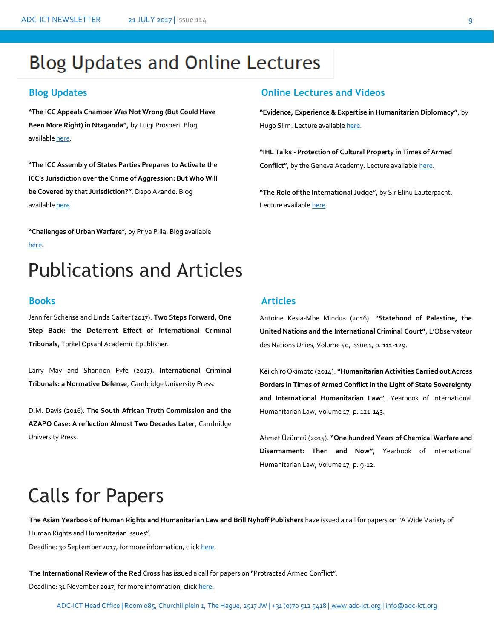# **Blog Updates and Online Lectures**

**"The ICC Appeals Chamber Was Not Wrong (But Could Have Been More Right) in Ntaganda",** by Luigi Prosperi. Blog available [here.](http://opiniojuris.org/2017/06/27/33178/)

**"The ICC Assembly of States Parties Prepares to Activate the ICC's Jurisdiction over the Crime of Aggression: But Who Will be Covered by that Jurisdiction?"**, Dapo Akande. Blog available [here.](https://www.ejiltalk.org/the-icc-assembly-of-states-parties-prepares-to-activate-the-iccs-jurisdiction-over-the-crime-of-aggression-but-who-will-be-covered-by-that-jurisdiction/)

**"Challenges of Urban Warfare**", by Priya Pilla. Blog available [here.](https://ilg2.org/2017/07/08/challenges-of-urban-warfare/)

# Publications and Articles

Jennifer Schense and Linda Carter (2017). **Two Steps Forward, One Step Back: the Deterrent Effect of International Criminal Tribunals**, Torkel Opsahl Academic Epublisher.

Larry May and Shannon Fyfe (2017). **International Criminal Tribunals: a Normative Defense**, Cambridge University Press.

D.M. Davis (2016). **The South African Truth Commission and the AZAPO Case: A reflection Almost Two Decades Later**, Cambridge University Press.

### **Blog Updates Online Lectures and Videos**

**"Evidence, Experience & Expertise in Humanitarian Diplomacy"**, by Hugo Slim. Lecture availabl[e here.](http://intercrossblog.icrc.org/blog/intercross-the-podcast-episode-17-evidence-experience-expertise-in-humanitarian-diplomacy-with-hugo-slim)

**"IHL Talks - Protection of Cultural Property in Times of Armed Conflict"**, by the Geneva Academy. Lecture availabl[e here.](http://www.geneve-int.ch/ihl-talks-protection-cultural-property-times-armed-conflict)

**"The Role of the International Judge**", by Sir Elihu Lauterpacht. Lecture availabl[e here.](http://legal.un.org/avl/ls/Lauterpacht_CT.html)

### **Books Articles**

Antoine Kesia-Mbe Mindua (2016). **"Statehood of Palestine, the United Nations and the International Criminal Court"**, L'Observateur des Nations Unies, Volume 40, Issue 1, p. 111-129.

Keiichiro Okimoto (2014). **"Humanitarian Activities Carried out Across Borders in Times of Armed Conflict in the Light of State Sovereignty and International Humanitarian Law"**, Yearbook of International Humanitarian Law, Volume 17, p. 121-143.

Ahmet Üzümcü (2014). **"One hundred Years of Chemical Warfare and Disarmament: Then and Now"**, Yearbook of International Humanitarian Law, Volume 17, p. 9-12.

# Calls for Papers

**The Asian Yearbook of Human Rights and Humanitarian Law and Brill Nyhoff Publishers** have issued a call for papers on "A Wide Variety of<br>Human Rights and Humanitarian Issues". Human Rights and Humanitarian Issues".

Deadline: 30 September 2017, for more information, clic[k here.](http://www.esil-sedi.eu/node/1780)

**The International Review of the Red Cross** has issued a call for papers on "Protracted Armed Conflict". Deadline: 31 November 2017, for more information, clic[k here.](http://www.internationallawobserver.eu/2017/07/04/international-review-of-the-red-cross-call-for-papers-on-protracted-armed-conflict/)

ADC-ICT Head Office | Room 085, Churchillplein 1, The Hague, 2517 JW | +31 (0)70 512 5418 [| www.adc-ict.org](http://www.adc-ict.org/) | [info@adc-ict.org](mailto:info@adc-ict.org)